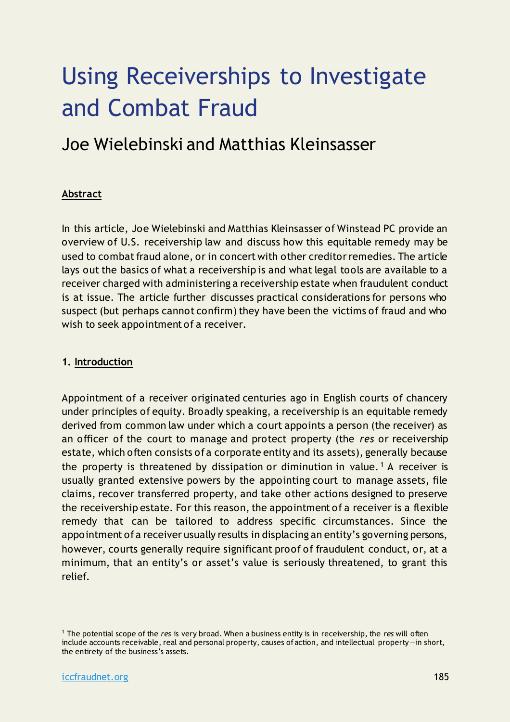# Using Receiverships to Investigate and Combat Fraud

### Joe Wielebinski and Matthias Kleinsasser

#### **Abstract**

In this article, Joe Wielebinski and Matthias Kleinsasser of Winstead PC provide an overview of U.S. receivership law and discuss how this equitable remedy may be used to combat fraud alone, or in concert with other creditor remedies. The article lays out the basics of what a receivership is and what legal tools are available to a receiver charged with administering a receivership estate when fraudulent conduct is at issue. The article further discusses practical considerations for persons who suspect (but perhaps cannot confirm) they have been the victims of fraud and who wish to seek appointment of a receiver.

#### **1. Introduction**

Appointment of a receiver originated centuries ago in English courts of chancery under principles of equity. Broadly speaking, a receivership is an equitable remedy derived from common law under which a court appoints a person (the receiver) as an officer of the court to manage and protect property (the *res* or receivership estate, which often consists of a corporate entity and its assets), generally because the property is threatened by dissipation or diminution in value.<sup>1</sup> A receiver is usually granted extensive powers by the appointing court to manage assets, file claims, recover transferred property, and take other actions designed to preserve the receivership estate. For this reason, the appointment of a receiver is a flexible remedy that can be tailored to address specific circumstances. Since the appointment of a receiver usually results in displacing an entity's governing persons, however, courts generally require significant proof of fraudulent conduct, or, at a minimum, that an entity's or asset's value is seriously threatened, to grant this relief.

<sup>1</sup> The potential scope of the *res* is very broad. When a business entity is in receivership, the *res* will often include accounts receivable, real and personal property, causes of action, and intellectual property—in short, the entirety of the business's assets.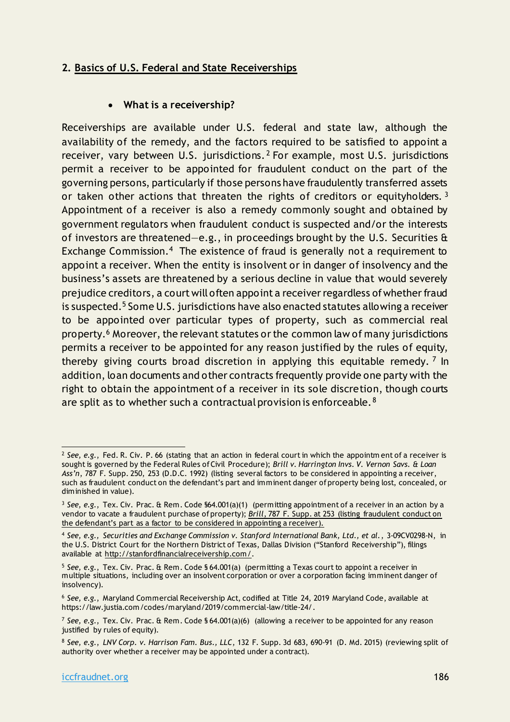#### **2. Basics of U.S. Federal and State Receiverships**

#### • **What is a receivership?**

Receiverships are available under U.S. federal and state law, although the availability of the remedy, and the factors required to be satisfied to appoint a receiver, vary between U.S. jurisdictions. <sup>2</sup> For example, most U.S. jurisdictions permit a receiver to be appointed for fraudulent conduct on the part of the governing persons, particularly if those persons have fraudulently transferred assets or taken other actions that threaten the rights of creditors or equityholders.  $3$ Appointment of a receiver is also a remedy commonly sought and obtained by government regulators when fraudulent conduct is suspected and/or the interests of investors are threatened—e.g., in proceedings brought by the U.S. Securities & Exchange Commission.<sup>4</sup> The existence of fraud is generally not a requirement to appoint a receiver. When the entity is insolvent or in danger of insolvency and the business's assets are threatened by a serious decline in value that would severely prejudice creditors, a court will often appoint a receiver regardless of whether fraud is suspected.<sup>5</sup> Some U.S. jurisdictions have also enacted statutes allowing a receiver to be appointed over particular types of property, such as commercial real property.<sup>6</sup> Moreover, the relevant statutes or the common law of many jurisdictions permits a receiver to be appointed for any reason justified by the rules of equity, thereby giving courts broad discretion in applying this equitable remedy.<sup>7</sup> In addition, loan documents and other contracts frequently provide one party with the right to obtain the appointment of a receiver in its sole discretion, though courts are split as to whether such a contractual provision is enforceable.<sup>8</sup>

<sup>2</sup> *See, e.g.*, Fed. R. Civ. P. 66 (stating that an action in federal court in which the appointm ent of a receiver is sought is governed by the Federal Rules of Civil Procedure); *Brill v. Harrington Invs. V. Vernon Savs. & Loan Ass'n*, 787 F. Supp. 250, 253 (D.D.C. 1992) (listing several factors to be considered in appointing a receiver, such as fraudulent conduct on the defendant's part and imminent danger of property being lost, concealed, or diminished in value).

<sup>&</sup>lt;sup>3</sup> See, e.g., Tex. Civ. Prac. & Rem. Code §64.001(a)(1) (permitting appointment of a receiver in an action by a vendor to vacate a fraudulent purchase of property); *Brill*, 787 F. Supp. at 253 (listing fraudulent conduct on the defendant's part as a factor to be considered in appointing a receiver).

<sup>4</sup> *See, e.g., Securities and Exchange Commission v. Stanford International Bank, Ltd., et al.*, 3-09CV0298-N, in the U.S. District Court for the Northern District of Texas, Dallas Division ("Stanford Receivership"), filings available at [http://stanfordfinancialreceivership.com/.](http://stanfordfinancialreceivership.com/) 

<sup>&</sup>lt;sup>5</sup> See, e.g., Tex. Civ. Prac. & Rem. Code § 64.001(a) (permitting a Texas court to appoint a receiver in multiple situations, including over an insolvent corporation or over a corporation facing imminent danger of insolvency).

<sup>6</sup> *See, e.g.*, Maryland Commercial Receivership Act, codified at Title 24, 2019 Maryland Code, available at https://law.justia.com/codes/maryland/2019/commercial-law/title-24/.

<sup>&</sup>lt;sup>7</sup> See, e.g., Tex. Civ. Prac. & Rem. Code § 64.001(a)(6) (allowing a receiver to be appointed for any reason justified by rules of equity).

<sup>8</sup> *See, e.g.*, *LNV Corp. v. Harrison Fam. Bus., LLC*, 132 F. Supp. 3d 683, 690-91 (D. Md. 2015) (reviewing split of authority over whether a receiver may be appointed under a contract).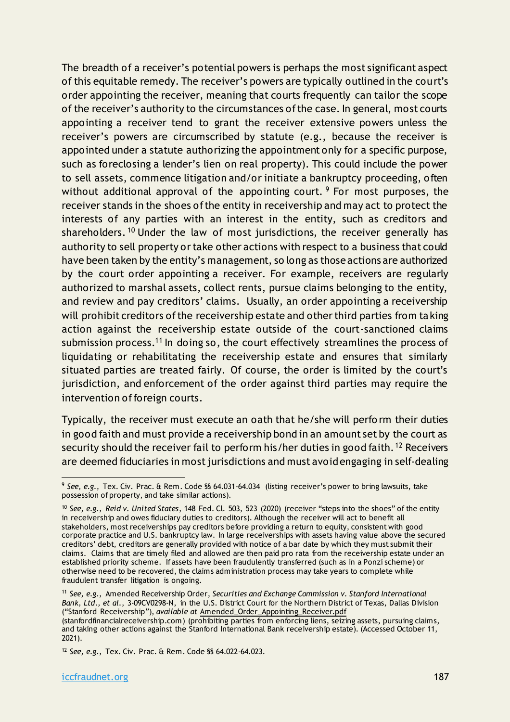The breadth of a receiver's potential powers is perhaps the most significant aspect of this equitable remedy. The receiver's powers are typically outlined in the court's order appointing the receiver, meaning that courts frequently can tailor the scope of the receiver's authority to the circumstances of the case. In general, most courts appointing a receiver tend to grant the receiver extensive powers unless the receiver's powers are circumscribed by statute (e.g., because the receiver is appointed under a statute authorizing the appointment only for a specific purpose, such as foreclosing a lender's lien on real property). This could include the power to sell assets, commence litigation and/or initiate a bankruptcy proceeding, often without additional approval of the appointing court.  $9$  For most purposes, the receiver stands in the shoes of the entity in receivership and may act to protect the interests of any parties with an interest in the entity, such as creditors and shareholders. <sup>10</sup> Under the law of most jurisdictions, the receiver generally has authority to sell property or take other actions with respect to a business that could have been taken by the entity's management, so long as those actions are authorized by the court order appointing a receiver. For example, receivers are regularly authorized to marshal assets, collect rents, pursue claims belonging to the entity, and review and pay creditors' claims. Usually, an order appointing a receivership will prohibit creditors of the receivership estate and other third parties from taking action against the receivership estate outside of the court-sanctioned claims submission process.<sup>11</sup> In doing so, the court effectively streamlines the process of liquidating or rehabilitating the receivership estate and ensures that similarly situated parties are treated fairly. Of course, the order is limited by the court's jurisdiction, and enforcement of the order against third parties may require the intervention of foreign courts.

Typically, the receiver must execute an oath that he/she will perfo rm their duties in good faith and must provide a receivership bond in an amount set by the court as security should the receiver fail to perform his/her duties in good faith. <sup>12</sup> Receivers are deemed fiduciaries in most jurisdictions and must avoid engaging in self-dealing

<sup>9</sup> *See, e.g.*, Tex. Civ. Prac. & Rem. Code §§ 64.031-64.034 (listing receiver's power to bring lawsuits, take possession of property, and take similar actions).

<sup>10</sup> *See, e.g.*, *Reid v. United States*, 148 Fed. Cl. 503, 523 (2020) (receiver "steps into the shoes" of the entity in receivership and owes fiduciary duties to creditors). Although the receiver will act to benefit all stakeholders, most receiverships pay creditors before providing a return to equity, consistent with good corporate practice and U.S. bankruptcy law. In large receiverships with assets having value above the secured creditors' debt, creditors are generally provided with notice of a bar date by which they must submit their claims. Claims that are timely filed and allowed are then paid pro rata from the receivership estate under an established priority scheme. If assets have been fraudulently transferred (such as in a Ponzi scheme) or otherwise need to be recovered, the claims administration process may take years to complete while fraudulent transfer litigation is ongoing.

<sup>11</sup> *See, e.g.*, Amended Receivership Order, *Securities and Exchange Commission v. Stanford International Bank, Ltd., et al.*, 3-09CV0298-N, in the U.S. District Court for the Northern District of Texas, Dallas Division ("Stanford Receivership"), *available at* [Amended\\_Order\\_Appointing\\_Receiver.pdf](http://stanfordfinancialreceivership.com/documents/Amended_Order_Appointing_Receiver.pdf) 

[<sup>\(</sup>stanfordfinancialreceivership.com\)](http://stanfordfinancialreceivership.com/documents/Amended_Order_Appointing_Receiver.pdf) (prohibiting parties from enforcing liens, seizing assets, pursuing claims, and taking other actions against the Stanford International Bank receivership estate). (Accessed October 11, 2021).

<sup>12</sup> *See, e.g.*, Tex. Civ. Prac. & Rem. Code §§ 64.022-64.023.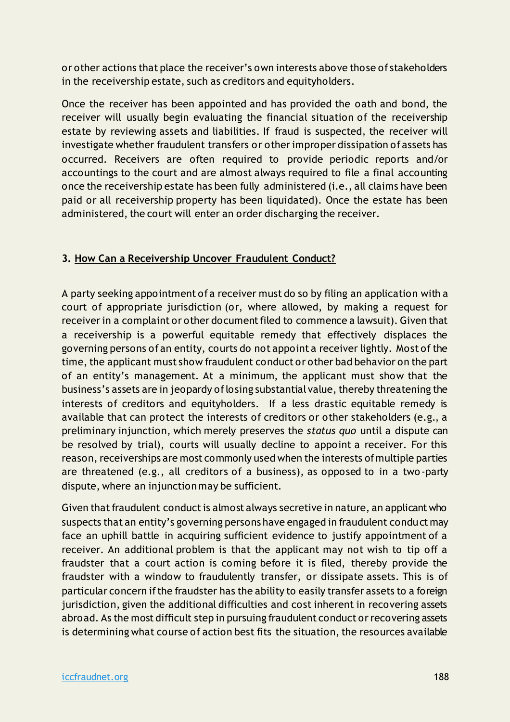or other actions that place the receiver's own interests above those of stakeholders in the receivership estate, such as creditors and equityholders.

Once the receiver has been appointed and has provided the oath and bond, the receiver will usually begin evaluating the financial situation of the receivership estate by reviewing assets and liabilities. If fraud is suspected, the receiver will investigate whether fraudulent transfers or other improper dissipation of assets has occurred. Receivers are often required to provide periodic reports and/or accountings to the court and are almost always required to file a final accounting once the receivership estate has been fully administered (i.e., all claims have been paid or all receivership property has been liquidated). Once the estate has been administered, the court will enter an order discharging the receiver.

#### **3. How Can a Receivership Uncover Fraudulent Conduct?**

A party seeking appointment of a receiver must do so by filing an application with a court of appropriate jurisdiction (or, where allowed, by making a request for receiver in a complaint or other document filed to commence a lawsuit). Given that a receivership is a powerful equitable remedy that effectively displaces the governing persons of an entity, courts do not appoint a receiver lightly. Most of the time, the applicant must show fraudulent conduct or other bad behavior on the part of an entity's management. At a minimum, the applicant must show that the business's assets are in jeopardy of losing substantial value, thereby threatening the interests of creditors and equityholders. If a less drastic equitable remedy is available that can protect the interests of creditors or other stakeholders (e.g., a preliminary injunction, which merely preserves the *status quo* until a dispute can be resolved by trial), courts will usually decline to appoint a receiver. For this reason, receiverships are most commonly used when the interests of multiple parties are threatened (e.g., all creditors of a business), as opposed to in a two -party dispute, where an injunction may be sufficient.

Given that fraudulent conduct is almost always secretive in nature, an applicant who suspects that an entity's governing persons have engaged in fraudulent conduct may face an uphill battle in acquiring sufficient evidence to justify appointment of a receiver. An additional problem is that the applicant may not wish to tip off a fraudster that a court action is coming before it is filed, thereby provide the fraudster with a window to fraudulently transfer, or dissipate assets. This is of particular concern if the fraudster has the ability to easily transfer assets to a foreign jurisdiction, given the additional difficulties and cost inherent in recovering assets abroad. As the most difficult step in pursuing fraudulent conduct or recovering assets is determining what course of action best fits the situation, the resources available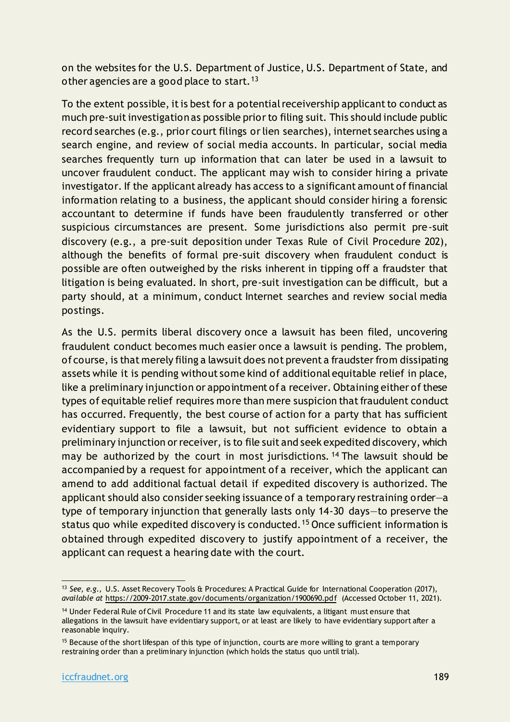on the websites for the U.S. Department of Justice, U.S. Department of State, and other agencies are a good place to start.<sup>13</sup>

To the extent possible, it is best for a potential receivership applicant to conduct as much pre-suit investigation as possible prior to filing suit. This should include public record searches (e.g., prior court filings or lien searches), internet searches using a search engine, and review of social media accounts. In particular, social media searches frequently turn up information that can later be used in a lawsuit to uncover fraudulent conduct. The applicant may wish to consider hiring a private investigator. If the applicant already has access to a significant amount of financial information relating to a business, the applicant should consider hiring a forensic accountant to determine if funds have been fraudulently transferred or other suspicious circumstances are present. Some jurisdictions also permit pre-suit discovery (e.g., a pre-suit deposition under Texas Rule of Civil Procedure 202), although the benefits of formal pre-suit discovery when fraudulent conduct is possible are often outweighed by the risks inherent in tipping off a fraudster that litigation is being evaluated. In short, pre-suit investigation can be difficult, but a party should, at a minimum, conduct Internet searches and review social media postings.

As the U.S. permits liberal discovery once a lawsuit has been filed, uncovering fraudulent conduct becomes much easier once a lawsuit is pending. The problem, of course, is that merely filing a lawsuit does not prevent a fraudster from dissipating assets while it is pending without some kind of additional equitable relief in place, like a preliminary injunction or appointment of a receiver. Obtaining either of these types of equitable relief requires more than mere suspicion that fraudulent conduct has occurred. Frequently, the best course of action for a party that has sufficient evidentiary support to file a lawsuit, but not sufficient evidence to obtain a preliminary injunction or receiver, is to file suit and seek expedited discovery, which may be authorized by the court in most jurisdictions.<sup>14</sup> The lawsuit should be accompanied by a request for appointment of a receiver, which the applicant can amend to add additional factual detail if expedited discovery is authorized. The applicant should also consider seeking issuance of a temporary restraining order—a type of temporary injunction that generally lasts only 14-30 days—to preserve the status quo while expedited discovery is conducted.<sup>15</sup> Once sufficient information is obtained through expedited discovery to justify appointment of a receiver, the applicant can request a hearing date with the court.

<sup>13</sup> *See, e.g.*, U.S. Asset Recovery Tools & Procedures: A Practical Guide for International Cooperation (2017), *available at* <https://2009-2017.state.gov/documents/organization/1900690.pdf> (Accessed October 11, 2021).

<sup>&</sup>lt;sup>14</sup> Under Federal Rule of Civil Procedure 11 and its state law equivalents, a litigant must ensure that allegations in the lawsuit have evidentiary support, or at least are likely to have evidentiary support after a reasonable inquiry.

<sup>&</sup>lt;sup>15</sup> Because of the short lifespan of this type of injunction, courts are more willing to grant a temporary restraining order than a preliminary injunction (which holds the status quo until trial).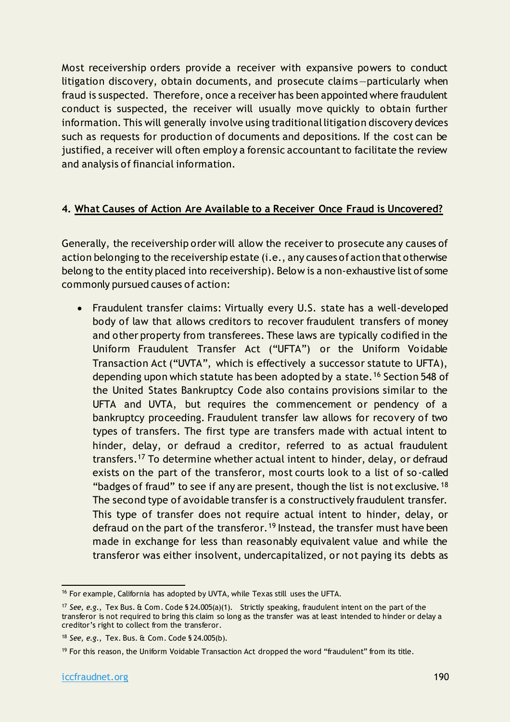Most receivership orders provide a receiver with expansive powers to conduct litigation discovery, obtain documents, and prosecute claims—particularly when fraud is suspected. Therefore, once a receiver has been appointed where fraudulent conduct is suspected, the receiver will usually move quickly to obtain further information. This will generally involve using traditional litigation discovery devices such as requests for production of documents and depositions. If the cost can be justified, a receiver will often employ a forensic accountant to facilitate the review and analysis of financial information.

#### **4. What Causes of Action Are Available to a Receiver Once Fraud is Uncovered?**

Generally, the receivership order will allow the receiver to prosecute any causes of action belonging to the receivership estate (i.e., any causes of action that otherwise belong to the entity placed into receivership). Below is a non-exhaustive list of some commonly pursued causes of action:

• Fraudulent transfer claims: Virtually every U.S. state has a well-developed body of law that allows creditors to recover fraudulent transfers of money and other property from transferees. These laws are typically codified in the Uniform Fraudulent Transfer Act ("UFTA") or the Uniform Voidable Transaction Act ("UVTA", which is effectively a successor statute to UFTA), depending upon which statute has been adopted by a state.<sup>16</sup> Section 548 of the United States Bankruptcy Code also contains provisions similar to the UFTA and UVTA, but requires the commencement or pendency of a bankruptcy proceeding. Fraudulent transfer law allows for recovery of two types of transfers. The first type are transfers made with actual intent to hinder, delay, or defraud a creditor, referred to as actual fraudulent transfers.<sup>17</sup> To determine whether actual intent to hinder, delay, or defraud exists on the part of the transferor, most courts look to a list of so -called "badges of fraud" to see if any are present, though the list is not exclusive.  $18$ The second type of avoidable transfer is a constructively fraudulent transfer. This type of transfer does not require actual intent to hinder, delay, or defraud on the part of the transferor.<sup>19</sup> Instead, the transfer must have been made in exchange for less than reasonably equivalent value and while the transferor was either insolvent, undercapitalized, or not paying its debts as

<sup>16</sup> For example, California has adopted by UVTA, while Texas still uses the UFTA.

<sup>17</sup> *See, e.g.*, Tex Bus. & Com. Code § 24.005(a)(1). Strictly speaking, fraudulent intent on the part of the transferor is not required to bring this claim so long as the transfer was at least intended to hinder or delay a creditor's right to collect from the transferor.

<sup>18</sup> *See, e.g.*, Tex. Bus. & Com. Code § 24.005(b).

<sup>&</sup>lt;sup>19</sup> For this reason, the Uniform Voidable Transaction Act dropped the word "fraudulent" from its title.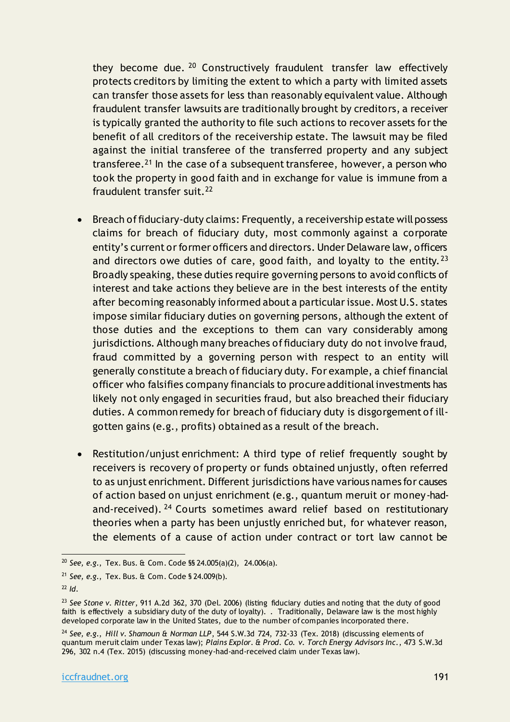they become due. <sup>20</sup> Constructively fraudulent transfer law effectively protects creditors by limiting the extent to which a party with limited assets can transfer those assets for less than reasonably equivalent value. Although fraudulent transfer lawsuits are traditionally brought by creditors, a receiver is typically granted the authority to file such actions to recover assets for the benefit of all creditors of the receivership estate. The lawsuit may be filed against the initial transferee of the transferred property and any subject transferee.<sup>21</sup> In the case of a subsequent transferee, however, a person who took the property in good faith and in exchange for value is immune from a fraudulent transfer suit.<sup>22</sup>

- Breach of fiduciary-duty claims: Frequently, a receivership estate will possess claims for breach of fiduciary duty, most commonly against a corporate entity's current or former officers and directors. Under Delaware law, officers and directors owe duties of care, good faith, and loyalty to the entity.  $23$ Broadly speaking, these duties require governing persons to avoid conflicts of interest and take actions they believe are in the best interests of the entity after becoming reasonably informed about a particular issue. Most U.S. states impose similar fiduciary duties on governing persons, although the extent of those duties and the exceptions to them can vary considerably among jurisdictions. Although many breaches of fiduciary duty do not involve fraud, fraud committed by a governing person with respect to an entity will generally constitute a breach of fiduciary duty. For example, a chief financial officer who falsifies company financials to procure additional investments has likely not only engaged in securities fraud, but also breached their fiduciary duties. A common remedy for breach of fiduciary duty is disgorgement of illgotten gains (e.g., profits) obtained as a result of the breach.
- Restitution/unjust enrichment: A third type of relief frequently sought by receivers is recovery of property or funds obtained unjustly, often referred to as unjust enrichment. Different jurisdictions have various names for causes of action based on unjust enrichment (e.g., quantum meruit or money-hadand-received). <sup>24</sup> Courts sometimes award relief based on restitutionary theories when a party has been unjustly enriched but, for whatever reason, the elements of a cause of action under contract or tort law cannot be

<sup>20</sup> *See, e.g.*, Tex. Bus. & Com. Code §§ 24.005(a)(2), 24.006(a).

<sup>21</sup> *See, e.g.*, Tex. Bus. & Com. Code § 24.009(b).

<sup>22</sup> *Id.*

<sup>23</sup> *See Stone v. Ritter*, 911 A.2d 362, 370 (Del. 2006) (listing fiduciary duties and noting that the duty of good faith is effectively a subsidiary duty of the duty of loyalty). . Traditionally, Delaware law is the most highly developed corporate law in the United States, due to the number of companies incorporated there.

<sup>24</sup> *See, e.g.*, *Hill v. Shamoun & Norman LLP*, 544 S.W.3d 724, 732-33 (Tex. 2018) (discussing elements of quantum meruit claim under Texas law); *Plains Explor. & Prod. Co. v. Torch Energy Advisors Inc.*, 473 S.W.3d 296, 302 n.4 (Tex. 2015) (discussing money-had-and-received claim under Texas law).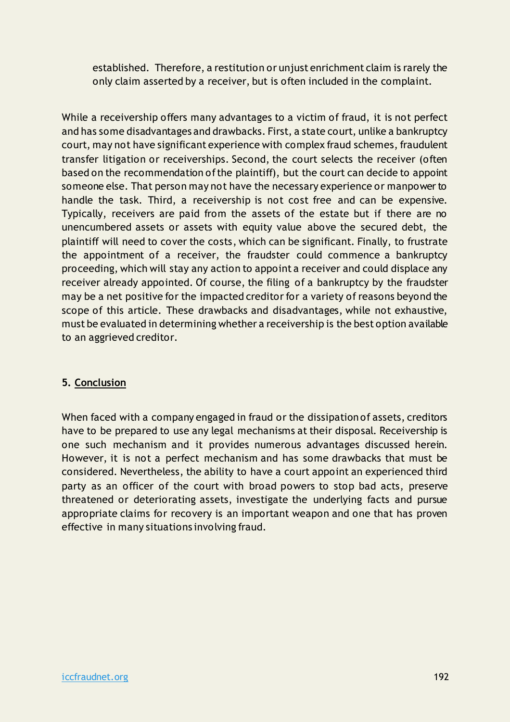established. Therefore, a restitution or unjust enrichment claim is rarely the only claim asserted by a receiver, but is often included in the complaint.

While a receivership offers many advantages to a victim of fraud, it is not perfect and has some disadvantages and drawbacks. First, a state court, unlike a bankruptcy court, may not have significant experience with complex fraud schemes, fraudulent transfer litigation or receiverships. Second, the court selects the receiver (often based on the recommendation of the plaintiff), but the court can decide to appoint someone else. That person may not have the necessary experience or manpower to handle the task. Third, a receivership is not cost free and can be expensive. Typically, receivers are paid from the assets of the estate but if there are no unencumbered assets or assets with equity value above the secured debt, the plaintiff will need to cover the costs, which can be significant. Finally, to frustrate the appointment of a receiver, the fraudster could commence a bankruptcy proceeding, which will stay any action to appoint a receiver and could displace any receiver already appointed. Of course, the filing of a bankruptcy by the fraudster may be a net positive for the impacted creditor for a variety of reasons beyond the scope of this article. These drawbacks and disadvantages, while not exhaustive, must be evaluated in determining whether a receivership is the best option available to an aggrieved creditor.

#### **5. Conclusion**

When faced with a company engaged in fraud or the dissipation of assets, creditors have to be prepared to use any legal mechanisms at their disposal. Receivership is one such mechanism and it provides numerous advantages discussed herein. However, it is not a perfect mechanism and has some drawbacks that must be considered. Nevertheless, the ability to have a court appoint an experienced third party as an officer of the court with broad powers to stop bad acts, preserve threatened or deteriorating assets, investigate the underlying facts and pursue appropriate claims for recovery is an important weapon and one that has proven effective in many situations involving fraud.